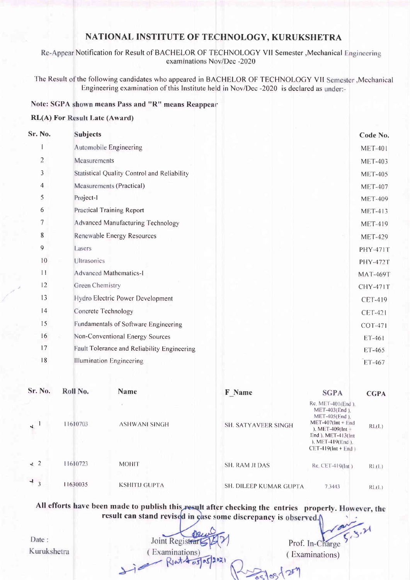# NATIONAL INSTITUTE OF TECHNOLOGY, KURUKSHETRA

Re-Appear Notification for Result of BACHELOR OF TECHNOLOGY VII Semester , Mechanical Engineering examinations Nov/Dec -2020

The Result of the following candidates who appeared in BACHELOR OF TECHNOLOGY VII Semester , Mechanical Engineering examination of this Institute held in Nov/Dec -2020 is declared as under:-

#### Note: SGPA shown means Pass and "R" means Reappear

#### **RL(A) For Result Late (Award)**

| Sr. No.                       | <b>Subjects</b>                 |                                             |                          |                                                                                                                                                                     | Code No.        |
|-------------------------------|---------------------------------|---------------------------------------------|--------------------------|---------------------------------------------------------------------------------------------------------------------------------------------------------------------|-----------------|
|                               |                                 | Automobile Engineering                      |                          |                                                                                                                                                                     | <b>MET-401</b>  |
| 2                             | Measurements                    |                                             |                          |                                                                                                                                                                     | <b>MET-403</b>  |
| 3                             |                                 | Statistical Quality Control and Reliability |                          |                                                                                                                                                                     | <b>MET-405</b>  |
| 4                             |                                 | Measurements (Practical)                    |                          |                                                                                                                                                                     | <b>MET-407</b>  |
| 5                             | Project-1                       |                                             |                          |                                                                                                                                                                     | <b>MET-409</b>  |
| 6                             |                                 | <b>Practical Training Report</b>            |                          |                                                                                                                                                                     | <b>MET-413</b>  |
| 7                             |                                 | <b>Advanced Manufacturing Technology</b>    |                          |                                                                                                                                                                     | <b>MET-419</b>  |
| 8                             |                                 | Renewable Energy Resources                  |                          |                                                                                                                                                                     | <b>MET-429</b>  |
| 9                             | Lasers                          |                                             |                          |                                                                                                                                                                     | <b>PHY-471T</b> |
| 10                            | <b>Ultrasonics</b>              |                                             |                          |                                                                                                                                                                     | <b>PHY-472T</b> |
| 11                            |                                 | <b>Advanced Mathematics-I</b>               |                          |                                                                                                                                                                     | <b>MAT-469T</b> |
| 12                            | <b>Green Chemistry</b>          |                                             |                          |                                                                                                                                                                     | <b>CHY-471T</b> |
| 13                            |                                 | Hydro Electric Power Development            |                          |                                                                                                                                                                     | <b>CET-419</b>  |
| 4                             |                                 | Concrete Technology                         |                          |                                                                                                                                                                     | <b>CET-421</b>  |
| 15                            |                                 | Fundamentals of Software Engineering        |                          |                                                                                                                                                                     | COT-471         |
| 16                            | Non-Conventional Energy Sources |                                             |                          |                                                                                                                                                                     | ET-461          |
| 17                            |                                 | Fault Tolerance and Reliability Engineering |                          |                                                                                                                                                                     | ET-465          |
| 18                            |                                 | <b>Illumination Engineering</b>             |                          |                                                                                                                                                                     | ET-467          |
| Sr. No.                       | Roll No.                        | <b>Name</b>                                 | F_Name                   | <b>SGPA</b>                                                                                                                                                         | <b>CGPA</b>     |
|                               | 11610703                        | <b>ASHWANI SINGH</b>                        | SH. SATYAVEER SINGH      | Re. MET $401$ (End).<br>MET-403(End).<br>MET-405(End).<br>$MET-407(int + End$<br>), MET-409(Int +<br>End ), MET-413(Int<br>), MET-419(End).<br>$CET-419(int + End)$ | RL(L)           |
| $\star$ 2                     | 11610723                        | <b>MOHIT</b>                                | <b>SH. RAM JI DAS</b>    | Re. CET-419(Int)                                                                                                                                                    | RL(L)           |
| ÷.<br>$\overline{\mathbf{3}}$ | 11630035                        | KSHITII GUPTA                               | SH-DILEEP RTIMAD CHDTA - | $7, 2, 4, 4, 2$                                                                                                                                                     | $131 \times 1$  |

All efforts have been made to publish this result after checking the entries properly. However, the result can stand revised in çase some discrepancy is observed.

Date: Kurukshetra

Joint Registrar (Examinations) Jie  $-$  Riat 4 05/05/202

Prof. In-Charge (Examinations)

 $\frac{1}{85}$